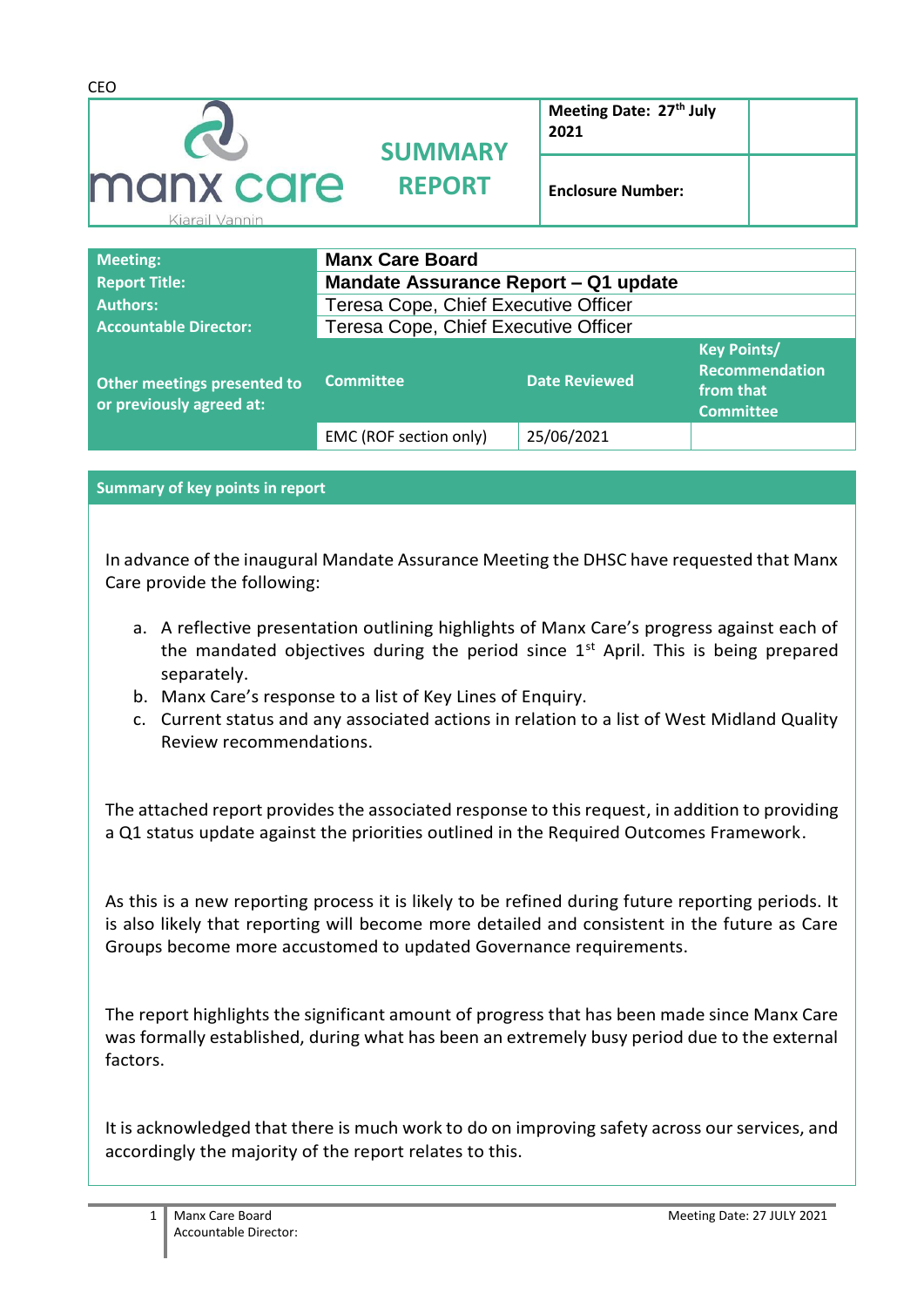| <b>Contract Contract Contract Contract Contract Contract Contract Contract Contract Contract Contract Contract Contract Contract Contract Contract Contract Contract Contract Contract Contract Contract Contract Contract Contr</b> | Mandate Assessore Densed 04 condets |                                 |  |
|--------------------------------------------------------------------------------------------------------------------------------------------------------------------------------------------------------------------------------------|-------------------------------------|---------------------------------|--|
| <b>Meeting:</b>                                                                                                                                                                                                                      | <b>Manx Care Board</b>              |                                 |  |
|                                                                                                                                                                                                                                      |                                     |                                 |  |
| Kiarail Vannin                                                                                                                                                                                                                       |                                     |                                 |  |
| manx care                                                                                                                                                                                                                            | <b>REPORT</b>                       | <b>Enclosure Number:</b>        |  |
|                                                                                                                                                                                                                                      | <b>SUMMARY</b>                      |                                 |  |
|                                                                                                                                                                                                                                      |                                     | Meeting Date: 27th July<br>2021 |  |
|                                                                                                                                                                                                                                      |                                     |                                 |  |
| <b>CEO</b>                                                                                                                                                                                                                           |                                     |                                 |  |

| <b>Report Title:</b>                                    | <b>Mandate Assurance Report – Q1 update</b> |                      |                                                                       |
|---------------------------------------------------------|---------------------------------------------|----------------------|-----------------------------------------------------------------------|
| <b>Authors:</b>                                         | Teresa Cope, Chief Executive Officer        |                      |                                                                       |
| <b>Accountable Director:</b>                            | Teresa Cope, Chief Executive Officer        |                      |                                                                       |
| Other meetings presented to<br>or previously agreed at: | <b>Committee</b>                            | <b>Date Reviewed</b> | <b>Key Points/</b><br>Recommendation<br>from that<br><b>Committee</b> |
|                                                         | EMC (ROF section only)                      | 25/06/2021           |                                                                       |

**Summary of key points in report**

In advance of the inaugural Mandate Assurance Meeting the DHSC have requested that Manx Care provide the following:

- a. A reflective presentation outlining highlights of Manx Care's progress against each of the mandated objectives during the period since  $1<sup>st</sup>$  April. This is being prepared separately.
- b. Manx Care's response to a list of Key Lines of Enquiry.
- c. Current status and any associated actions in relation to a list of West Midland Quality Review recommendations.

The attached report provides the associated response to this request, in addition to providing a Q1 status update against the priorities outlined in the Required Outcomes Framework.

As this is a new reporting process it is likely to be refined during future reporting periods. It is also likely that reporting will become more detailed and consistent in the future as Care Groups become more accustomed to updated Governance requirements.

The report highlights the significant amount of progress that has been made since Manx Care was formally established, during what has been an extremely busy period due to the external factors.

It is acknowledged that there is much work to do on improving safety across our services, and accordingly the majority of the report relates to this.